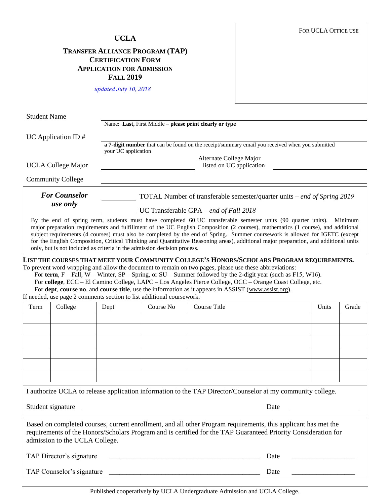## **UCLA**

## **TRANSFER ALLIANCE PROGRAM (TAP) CERTIFICATION FORM APPLICATION FOR ADMISSION FALL 2019**

*updated July 10, 2018*

| <b>Student Name</b>                                                                                                                                                                                                                                                                                                                                                                                                                                                                                                                                                                                           |                                                                                                                                                                                                      |  |  |  |  |  |
|---------------------------------------------------------------------------------------------------------------------------------------------------------------------------------------------------------------------------------------------------------------------------------------------------------------------------------------------------------------------------------------------------------------------------------------------------------------------------------------------------------------------------------------------------------------------------------------------------------------|------------------------------------------------------------------------------------------------------------------------------------------------------------------------------------------------------|--|--|--|--|--|
|                                                                                                                                                                                                                                                                                                                                                                                                                                                                                                                                                                                                               | Name: Last, First Middle – please print clearly or type                                                                                                                                              |  |  |  |  |  |
| UC Application ID $#$                                                                                                                                                                                                                                                                                                                                                                                                                                                                                                                                                                                         |                                                                                                                                                                                                      |  |  |  |  |  |
|                                                                                                                                                                                                                                                                                                                                                                                                                                                                                                                                                                                                               | a 7-digit number that can be found on the receipt/summary email you received when you submitted<br>your UC application                                                                               |  |  |  |  |  |
|                                                                                                                                                                                                                                                                                                                                                                                                                                                                                                                                                                                                               | Alternate College Major                                                                                                                                                                              |  |  |  |  |  |
| <b>UCLA College Major</b>                                                                                                                                                                                                                                                                                                                                                                                                                                                                                                                                                                                     | listed on UC application                                                                                                                                                                             |  |  |  |  |  |
| <b>Community College</b>                                                                                                                                                                                                                                                                                                                                                                                                                                                                                                                                                                                      |                                                                                                                                                                                                      |  |  |  |  |  |
| <b>For Counselor</b><br>use only                                                                                                                                                                                                                                                                                                                                                                                                                                                                                                                                                                              | TOTAL Number of transferable semester/quarter units – end of Spring 2019                                                                                                                             |  |  |  |  |  |
|                                                                                                                                                                                                                                                                                                                                                                                                                                                                                                                                                                                                               | UC Transferable GPA – end of Fall $2018$                                                                                                                                                             |  |  |  |  |  |
| By the end of spring term, students must have completed 60 UC transferable semester units (90 quarter units). Minimum<br>major preparation requirements and fulfillment of the UC English Composition (2 courses), mathematics (1 course), and additional<br>subject requirements (4 courses) must also be completed by the end of Spring. Summer coursework is allowed for IGETC (except<br>for the English Composition, Critical Thinking and Quantitative Reasoning areas), additional major preparation, and additional units<br>only, but is not included as criteria in the admission decision process. |                                                                                                                                                                                                      |  |  |  |  |  |
|                                                                                                                                                                                                                                                                                                                                                                                                                                                                                                                                                                                                               | LIST THE COURSES THAT MEET YOUR COMMUNITY COLLEGE'S HONORS/SCHOLARS PROGRAM REQUIREMENTS.<br>To prevent word wrapping and allow the document to remain on two pages, please use these abbreviations: |  |  |  |  |  |
| For term, $F$ – Fall, W – Winter, SP – Spring, or SU – Summer followed by the 2-digit year (such as F15, W16).                                                                                                                                                                                                                                                                                                                                                                                                                                                                                                |                                                                                                                                                                                                      |  |  |  |  |  |
| For college, ECC – El Camino College, LAPC – Los Angeles Pierce College, OCC – Orange Coast College, etc.                                                                                                                                                                                                                                                                                                                                                                                                                                                                                                     |                                                                                                                                                                                                      |  |  |  |  |  |
| For dept, course no, and course title, use the information as it appears in ASSIST (www.assist.org).<br>TO a constitution of a comparable constitution of $1.4$ and $1.4$ and $1.4$ and $1.4$ and $1.4$ and $1.4$                                                                                                                                                                                                                                                                                                                                                                                             |                                                                                                                                                                                                      |  |  |  |  |  |

If needed, use page 2 comments section to list additional coursework.

| Term                                                                                                                                                                                                                                                               | College | Dept | Course No | Course Title | Units | Grade |  |  |
|--------------------------------------------------------------------------------------------------------------------------------------------------------------------------------------------------------------------------------------------------------------------|---------|------|-----------|--------------|-------|-------|--|--|
|                                                                                                                                                                                                                                                                    |         |      |           |              |       |       |  |  |
|                                                                                                                                                                                                                                                                    |         |      |           |              |       |       |  |  |
|                                                                                                                                                                                                                                                                    |         |      |           |              |       |       |  |  |
|                                                                                                                                                                                                                                                                    |         |      |           |              |       |       |  |  |
|                                                                                                                                                                                                                                                                    |         |      |           |              |       |       |  |  |
|                                                                                                                                                                                                                                                                    |         |      |           |              |       |       |  |  |
| I authorize UCLA to release application information to the TAP Director/Counselor at my community college.                                                                                                                                                         |         |      |           |              |       |       |  |  |
| Student signature<br><u> 1980 - Johann Stein, Amerikaansk politiker (</u>                                                                                                                                                                                          |         |      |           | Date         |       |       |  |  |
| Based on completed courses, current enrollment, and all other Program requirements, this applicant has met the<br>requirements of the Honors/Scholars Program and is certified for the TAP Guaranteed Priority Consideration for<br>admission to the UCLA College. |         |      |           |              |       |       |  |  |
| TAP Director's signature<br>Date                                                                                                                                                                                                                                   |         |      |           |              |       |       |  |  |
| TAP Counselor's signature<br>Date                                                                                                                                                                                                                                  |         |      |           |              |       |       |  |  |